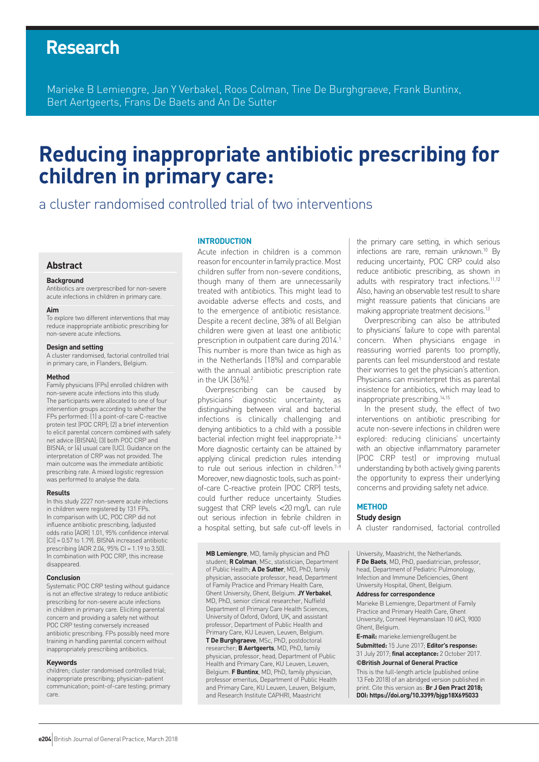## **Research**

Marieke B Lemiengre, Jan Y Verbakel, Roos Colman, Tine De Burghgraeve, Frank Buntinx, Bert Aertgeerts, Frans De Baets and An De Sutter

# **Reducing inappropriate antibiotic prescribing for children in primary care:**

a cluster randomised controlled trial of two interventions

#### **Abstract**

#### **Background**

Antibiotics are overprescribed for non-severe acute infections in children in primary care.

#### **Aim**

To explore two different interventions that may reduce inappropriate antibiotic prescribing for non-severe acute infections.

#### **Design and setting**

A cluster randomised, factorial controlled trial in primary care, in Flanders, Belgium.

#### **Method**

Family physicians (FPs) enrolled children with non-severe acute infections into this study. The participants were allocated to one of four intervention groups according to whether the FPs performed: (1) a point-of-care C-reactive protein test (POC CRP); (2) a brief intervention to elicit parental concern combined with safety net advice (BISNA); (3) both POC CRP and BISNA; or (4) usual care (UC). Guidance on the interpretation of CRP was not provided. The main outcome was the immediate antibiotic prescribing rate. A mixed logistic regression was performed to analyse the data.

#### **Results**

In this study 2227 non-severe acute infections in children were registered by 131 FPs. In comparison with UC, POC CRP did not influence antibiotic prescribing, (adjusted odds ratio [AOR] 1.01, 95% confidence interval [CI] = 0.57 to 1.79). BISNA increased antibiotic prescribing (AOR 2.04, 95% CI = 1.19 to 3.50). In combination with POC CRP, this increase disappeared.

#### **Conclusion**

Systematic POC CRP testing without guidance is not an effective strategy to reduce antibiotic prescribing for non-severe acute infections in children in primary care. Eliciting parental concern and providing a safety net without POC CRP testing conversely increased antibiotic prescribing. FPs possibly need more training in handling parental concern without inappropriately prescribing antibiotics.

#### **Keywords**

children; cluster randomised controlled trial; inappropriate prescribing; physician–patient communication; point-of-care testing; primary care.

#### **INTRODUCTION**

Acute infection in children is a common reason for encounter in family practice. Most children suffer from non-severe conditions, though many of them are unnecessarily treated with antibiotics. This might lead to avoidable adverse effects and costs, and to the emergence of antibiotic resistance. Despite a recent decline, 38% of all Belgian children were given at least one antibiotic prescription in outpatient care during 2014.<sup>1</sup> This number is more than twice as high as in the Netherlands (18%) and comparable with the annual antibiotic prescription rate in the UK (36%).2

Overprescribing can be caused by physicians' diagnostic uncertainty, as distinguishing between viral and bacterial infections is clinically challenging and denying antibiotics to a child with a possible bacterial infection might feel inappropriate.<sup>3-6</sup> More diagnostic certainty can be attained by applying clinical prediction rules intending to rule out serious infection in children.<sup>7-9</sup> Moreover, new diagnostic tools, such as pointof-care C-reactive protein (POC CRP) tests, could further reduce uncertainty. Studies suggest that CRP levels <20 mg/L can rule out serious infection in febrile children in a hospital setting, but safe cut-off levels in

**MB Lemiengre**, MD, family physician and PhD student; **R Colman**, MSc, statistician, Department of Public Health; **A De Sutter**, MD, PhD, family physician, associate professor, head, Department of Family Practice and Primary Health Care, Ghent University, Ghent, Belgium. **JY Verbakel**, MD, PhD, senior clinical researcher, Nuffield Department of Primary Care Health Sciences, University of Oxford, Oxford, UK, and assistant professor, Department of Public Health and Primary Care, KU Leuven, Leuven, Belgium. **T De Burghgraeve**, MSc, PhD, postdoctoral researcher; **B Aertgeerts**, MD, PhD, family physician, professor, head, Department of Public Health and Primary Care, KU Leuven, Leuven, Belgium. **F Buntinx**, MD, PhD, family physician, professor emeritus, Department of Public Health and Primary Care, KU Leuven, Leuven, Belgium, and Research Institute CAPHRI, Maastricht

the primary care setting, in which serious infections are rare, remain unknown.10 By reducing uncertainty, POC CRP could also reduce antibiotic prescribing, as shown in adults with respiratory tract infections.<sup>11,12</sup> Also, having an observable test result to share might reassure patients that clinicians are making appropriate treatment decisions.<sup>13</sup>

Overprescribing can also be attributed to physicians' failure to cope with parental concern. When physicians engage in reassuring worried parents too promptly, parents can feel misunderstood and restate their worries to get the physician's attention. Physicians can misinterpret this as parental insistence for antibiotics, which may lead to inappropriate prescribing.14,15

In the present study, the effect of two interventions on antibiotic prescribing for acute non-severe infections in children were explored: reducing clinicians' uncertainty with an objective inflammatory parameter (POC CRP test) or improving mutual understanding by both actively giving parents the opportunity to express their underlying concerns and providing safety net advice.

#### **METHOD**

#### **Study design**

A cluster randomised, factorial controlled

University, Maastricht, the Netherlands. **F De Baets**, MD, PhD, paediatrician, professor, head, Department of Pediatric Pulmonology, Infection and Immune Deficiencies, Ghent University Hospital, Ghent, Belgium.

#### **Address for correspondence**

Marieke B Lemiengre, Department of Family Practice and Primary Health Care, Ghent University, Corneel Heymanslaan 10 6K3, 9000 Ghent, Belgium.

**E-mail:** marieke.lemiengre@ugent.be

**Submitted:** 15 June 2017; **Editor's response:**  31 July 2017; **final acceptance:** 2 October 2017. **©British Journal of General Practice**

This is the full-length article (published online 13 Feb 2018) of an abridged version published in print. Cite this version as: **Br J Gen Pract 2018; DOI: https://doi.org/10.3399/bjgp18X695033**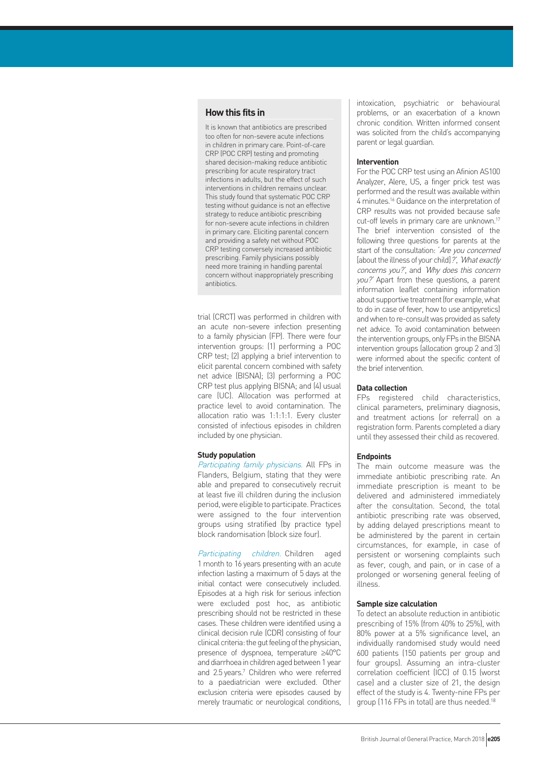## **How this fits in**

It is known that antibiotics are prescribed too often for non-severe acute infections in children in primary care. Point-of-care CRP (POC CRP) testing and promoting shared decision-making reduce antibiotic prescribing for acute respiratory tract infections in adults, but the effect of such interventions in children remains unclear. This study found that systematic POC CRP testing without guidance is not an effective strategy to reduce antibiotic prescribing for non-severe acute infections in children in primary care. Eliciting parental concern and providing a safety net without POC CRP testing conversely increased antibiotic prescribing. Family physicians possibly need more training in handling parental concern without inappropriately prescribing antibiotics.

trial (CRCT) was performed in children with an acute non-severe infection presenting to a family physician (FP). There were four intervention groups: (1) performing a POC CRP test; (2) applying a brief intervention to elicit parental concern combined with safety net advice (BISNA); (3) performing a POC CRP test plus applying BISNA; and (4) usual care (UC). Allocation was performed at practice level to avoid contamination. The allocation ratio was 1:1:1:1. Every cluster consisted of infectious episodes in children included by one physician.

## **Study population**

Participating family physicians. All FPs in Flanders, Belgium, stating that they were able and prepared to consecutively recruit at least five ill children during the inclusion period, were eligible to participate. Practices were assigned to the four intervention groups using stratified (by practice type) block randomisation (block size four).

Participating children. Children aged 1 month to 16 years presenting with an acute infection lasting a maximum of 5 days at the initial contact were consecutively included. Episodes at a high risk for serious infection were excluded post hoc, as antibiotic prescribing should not be restricted in these cases. These children were identified using a clinical decision rule (CDR) consisting of four clinical criteria: the gut feeling of the physician, presence of dyspnoea, temperature ≥40°C and diarrhoea in children aged between 1 year and 2.5 years.<sup>7</sup> Children who were referred to a paediatrician were excluded. Other exclusion criteria were episodes caused by merely traumatic or neurological conditions, intoxication, psychiatric or behavioural problems, or an exacerbation of a known chronic condition. Written informed consent was solicited from the child's accompanying parent or legal guardian.

## **Intervention**

For the POC CRP test using an Afinion AS100 Analyzer, Alere, US, a finger prick test was performed and the result was available within 4 minutes.16 Guidance on the interpretation of CRP results was not provided because safe cut-off levels in primary care are unknown.17 The brief intervention consisted of the following three questions for parents at the start of the consultation: 'Are you concerned [about the illness of your child]?', 'What exactly concerns you?', and 'Why does this concern you?' Apart from these questions, a parent information leaflet containing information about supportive treatment (for example, what to do in case of fever, how to use antipyretics) and when to re-consult was provided as safety net advice. To avoid contamination between the intervention groups, only FPs in the BISNA intervention groups (allocation group 2 and 3) were informed about the specific content of the brief intervention.

### **Data collection**

FPs registered child characteristics, clinical parameters, preliminary diagnosis, and treatment actions (or referral) on a registration form. Parents completed a diary until they assessed their child as recovered.

#### **Endpoints**

The main outcome measure was the immediate antibiotic prescribing rate. An immediate prescription is meant to be delivered and administered immediately after the consultation. Second, the total antibiotic prescribing rate was observed, by adding delayed prescriptions meant to be administered by the parent in certain circumstances, for example, in case of persistent or worsening complaints such as fever, cough, and pain, or in case of a prolonged or worsening general feeling of illness.

### **Sample size calculation**

To detect an absolute reduction in antibiotic prescribing of 15% (from 40% to 25%), with 80% power at a 5% significance level, an individually randomised study would need 600 patients (150 patients per group and four groups). Assuming an intra-cluster correlation coefficient (ICC) of 0.15 (worst case) and a cluster size of 21, the design effect of the study is 4. Twenty-nine FPs per group (116 FPs in total) are thus needed.<sup>18</sup>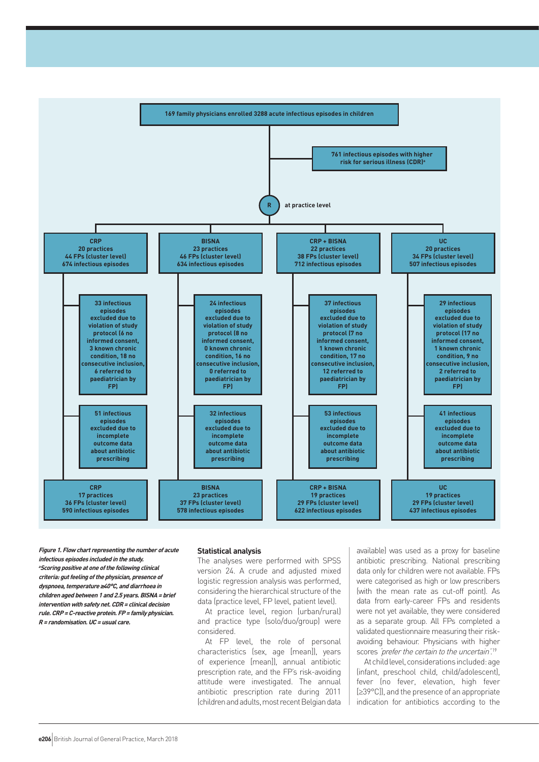

**Figure 1. Flow chart representing the number of acute infectious episodes included in the study. <sup>a</sup>Scoring positive at one of the following clinical criteria: gut feeling of the physician, presence of dyspnoea, temperature ≥40°C, and diarrhoea in children aged between 1 and 2.5 years. BISNA= brief intervention with safety net. CDR= clinical decision rule. CRP=C-reactive protein. FP= family physician. R= randomisation. UC= usual care.**

#### **Statistical analysis**

The analyses were performed with SPSS version 24. A crude and adjusted mixed logistic regression analysis was performed, considering the hierarchical structure of the data (practice level, FP level, patient level).

At practice level, region (urban/rural) and practice type (solo/duo/group) were considered.

At FP level, the role of personal characteristics (sex, age [mean]), years of experience [mean]), annual antibiotic prescription rate, and the FP's risk-avoiding attitude were investigated. The annual antibiotic prescription rate during 2011 (children and adults, most recent Belgian data

available) was used as a proxy for baseline antibiotic prescribing. National prescribing data only for children were not available. FPs were categorised as high or low prescribers (with the mean rate as cut-off point). As data from early-career FPs and residents were not yet available, they were considered as a separate group. All FPs completed a validated questionnaire measuring their riskavoiding behaviour. Physicians with higher scores 'prefer the certain to the uncertain'.<sup>19</sup>

At child level, considerations included: age (infant, preschool child, child/adolescent), fever (no fever, elevation, high fever [≥39°C]), and the presence of an appropriate indication for antibiotics according to the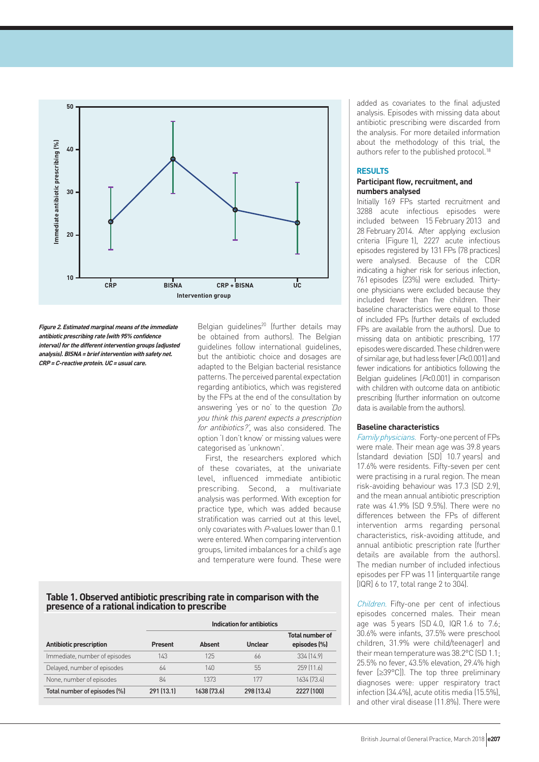

**Figure 2. Estimated marginal means of the immediate antibiotic prescribing rate (with 95% confidence interval) for the different intervention groups (adjusted analysis). BISNA= brief intervention with safety net. CRP=C-reactive protein. UC= usual care.**

Belgian guidelines<sup>20</sup> (further details may be obtained from authors). The Belgian guidelines follow international guidelines, but the antibiotic choice and dosages are adapted to the Belgian bacterial resistance patterns. The perceived parental expectation regarding antibiotics, which was registered by the FPs at the end of the consultation by answering 'yes or no' to the question 'Do you think this parent expects a prescription for antibiotics?', was also considered. The option 'I don't know' or missing values were categorised as 'unknown'.

First, the researchers explored which of these covariates, at the univariate level, influenced immediate antibiotic prescribing. Second, a multivariate analysis was performed. With exception for practice type, which was added because stratification was carried out at this level, only covariates with P-values lower than 0.1 were entered. When comparing intervention groups, limited imbalances for a child's age and temperature were found. These were

## **Table 1. Observed antibiotic prescribing rate in comparison with the presence of a rational indication to prescribe**

|                                | <b>Indication for antibiotics</b> |               |            |                                        |  |  |  |
|--------------------------------|-----------------------------------|---------------|------------|----------------------------------------|--|--|--|
| <b>Antibiotic prescription</b> | Present                           | <b>Absent</b> | Unclear    | <b>Total number of</b><br>episodes (%) |  |  |  |
| Immediate, number of episodes  | 143                               | 125           | 66         | 334 (14.9)                             |  |  |  |
| Delayed, number of episodes    | 64                                | 140           | 55         | 259 (11.6)                             |  |  |  |
| None, number of episodes       | 84                                | 1373          | 177        | 1634 [73.4]                            |  |  |  |
| Total number of episodes (%)   | 291 (13.1)                        | 1638 [73.6]   | 298 (13.4) | 2227 (100)                             |  |  |  |

added as covariates to the final adjusted analysis. Episodes with missing data about antibiotic prescribing were discarded from the analysis. For more detailed information about the methodology of this trial, the authors refer to the published protocol.<sup>18</sup>

## **RESULTS**

## **Participant flow, recruitment, and numbers analysed**

Initially 169 FPs started recruitment and 3288 acute infectious episodes were included between 15 February 2013 and 28 February 2014. After applying exclusion criteria (Figure 1), 2227 acute infectious episodes registered by 131 FPs (78 practices) were analysed. Because of the CDR indicating a higher risk for serious infection, 761 episodes (23%) were excluded. Thirtyone physicians were excluded because they included fewer than five children. Their baseline characteristics were equal to those of included FPs (further details of excluded FPs are available from the authors). Due to missing data on antibiotic prescribing, 177 episodes were discarded. These children were of similar age, but had less fever  $(P< 0.001)$  and fewer indications for antibiotics following the Belgian guidelines (P<0.001) in comparison with children with outcome data on antibiotic prescribing (further information on outcome data is available from the authors).

## **Baseline characteristics**

Family physicians. Forty-one percent of FPs were male. Their mean age was 39.8 years (standard deviation [SD] 10.7 years) and 17.6% were residents. Fifty-seven per cent were practising in a rural region. The mean risk-avoiding behaviour was 17.3 (SD 2.9), and the mean annual antibiotic prescription rate was 41.9% (SD 9.5%). There were no differences between the FPs of different intervention arms regarding personal characteristics, risk-avoiding attitude, and annual antibiotic prescription rate (further details are available from the authors). The median number of included infectious episodes per FP was 11 (interquartile range [IQR] 6 to 17, total range 2 to 304).

Children. Fifty-one per cent of infectious episodes concerned males. Their mean age was 5 years (SD 4.0, IQR 1.6 to 7.6; 30.6% were infants, 37.5% were preschool children, 31.9% were child/teenager) and their mean temperature was 38.2°C (SD 1.1; 25.5% no fever, 43.5% elevation, 29.4% high fever [≥39°C]). The top three preliminary diagnoses were: upper respiratory tract infection (34.4%), acute otitis media (15.5%), and other viral disease (11.8%). There were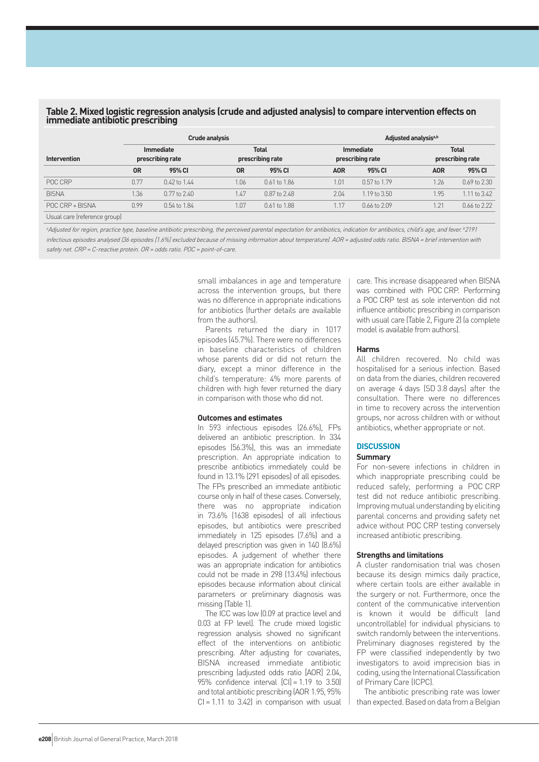## **Table 2. Mixed logistic regression analysis (crude and adjusted analysis) to compare intervention effects on immediate antibiotic prescribing**

| <b>Intervention</b> |                                      | <b>Crude analysis</b> |                                  |                  |                                      | Adjusted analysis <sup>a,b</sup> |                                  |              |  |
|---------------------|--------------------------------------|-----------------------|----------------------------------|------------------|--------------------------------------|----------------------------------|----------------------------------|--------------|--|
|                     | <b>Immediate</b><br>prescribing rate |                       | <b>Total</b><br>prescribing rate |                  | <b>Immediate</b><br>prescribing rate |                                  | <b>Total</b><br>prescribing rate |              |  |
|                     | <b>OR</b>                            | 95% CI                | <b>OR</b>                        | 95% CI           | <b>AOR</b>                           | 95% CI                           | <b>AOR</b>                       | 95% CI       |  |
| POC CRP             | 0.77                                 | 0.42 to 1.44          | 1.06                             | $0.61$ to $1.86$ | 1.01                                 | 0.57 to 1.79                     | 1.26                             | 0.69 to 2.30 |  |
| <b>BISNA</b>        | 1.36                                 | 0.77 to 2.40          | 1.47                             | 0.87 to 2.48     | 2.04                                 | $1.19$ to $3.50$                 | 1.95                             | 1.11 to 3.42 |  |
| POC CRP + BISNA     | 0.99                                 | 0.54 to 1.84          | 1.07                             | 0.61 to 1.88     | 1.17                                 | $0.66$ to $2.09$                 | 1.21                             | 0.66 to 2.22 |  |
|                     |                                      |                       |                                  |                  |                                      |                                  |                                  |              |  |

Usual care (reference group)

<sup>a</sup>Adjusted for region, practice type, baseline antibiotic prescribing, the perceived parental expectation for antibiotics, indication for antibiotics, child's age, and fever.<sup>b</sup>2191 infectious episodes analysed (36 episodes [1.6%] excluded because of missing information about temperature). AOR <sup>=</sup> adjusted odds ratio. BISNA <sup>=</sup> brief intervention with safety net. CRP <sup>=</sup> C-reactive protein. OR <sup>=</sup> odds ratio. POC <sup>=</sup> point-of-care.

> small imbalances in age and temperature across the intervention groups, but there was no difference in appropriate indications for antibiotics (further details are available from the authors).

> Parents returned the diary in 1017 episodes (45.7%). There were no differences in baseline characteristics of children whose parents did or did not return the diary, except a minor difference in the child's temperature: 4% more parents of children with high fever returned the diary in comparison with those who did not.

## **Outcomes and estimates**

In 593 infectious episodes (26.6%), FPs delivered an antibiotic prescription. In 334 episodes (56.3%), this was an immediate prescription. An appropriate indication to prescribe antibiotics immediately could be found in 13.1% (291 episodes) of all episodes. The FPs prescribed an immediate antibiotic course only in half of these cases. Conversely, there was no appropriate indication in 73.6% (1638 episodes) of all infectious episodes, but antibiotics were prescribed immediately in 125 episodes (7.6%) and a delayed prescription was given in 140 (8.6%) episodes. A judgement of whether there was an appropriate indication for antibiotics could not be made in 298 (13.4%) infectious episodes because information about clinical parameters or preliminary diagnosis was missing (Table 1).

The ICC was low (0.09 at practice level and 0.03 at FP level). The crude mixed logistic regression analysis showed no significant effect of the interventions on antibiotic prescribing. After adjusting for covariates, BISNA increased immediate antibiotic prescribing (adjusted odds ratio [AOR] 2.04, 95% confidence interval  $\text{[C]} = 1.19$  to 3.50) and total antibiotic prescribing (AOR 1.95, 95%  $Cl = 1.11$  to  $3.42$ ) in comparison with usual care. This increase disappeared when BISNA was combined with POC CRP. Performing a POC CRP test as sole intervention did not influence antibiotic prescribing in comparison with usual care (Table 2, Figure 2) (a complete model is available from authors).

## **Harms**

All children recovered. No child was hospitalised for a serious infection. Based on data from the diaries, children recovered on average 4 days (SD 3.8 days) after the consultation. There were no differences in time to recovery across the intervention groups, nor across children with or without antibiotics, whether appropriate or not.

## **DISCUSSION**

## **Summary**

For non-severe infections in children in which inappropriate prescribing could be reduced safely, performing a POC CRP test did not reduce antibiotic prescribing. Improving mutual understanding by eliciting parental concerns and providing safety net advice without POC CRP testing conversely increased antibiotic prescribing.

## **Strengths and limitations**

A cluster randomisation trial was chosen because its design mimics daily practice, where certain tools are either available in the surgery or not. Furthermore, once the content of the communicative intervention is known it would be difficult (and uncontrollable) for individual physicians to switch randomly between the interventions. Preliminary diagnoses registered by the FP were classified independently by two investigators to avoid imprecision bias in coding, using the International Classification of Primary Care (ICPC).

The antibiotic prescribing rate was lower than expected. Based on data from a Belgian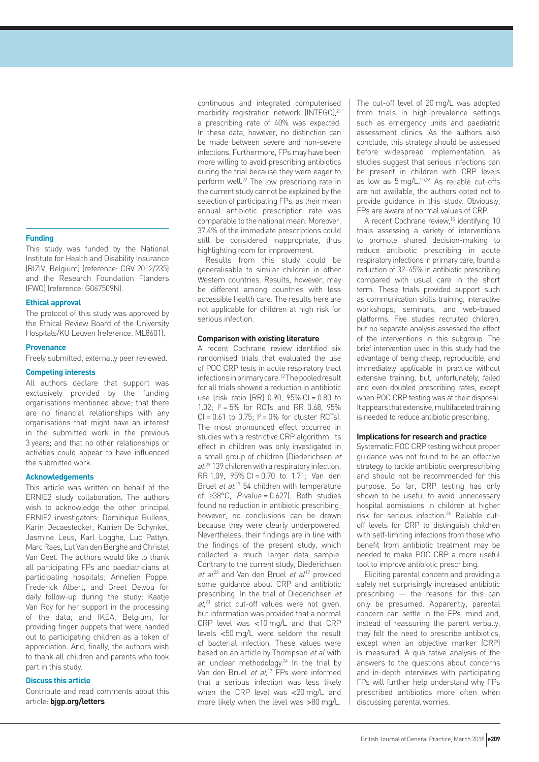## **Funding**

This study was funded by the National Institute for Health and Disability Insurance (RIZIV, Belgium) (reference: CGV 2012/235) and the Research Foundation Flanders (FWO) (reference: G067509N).

## **Ethical approval**

The protocol of this study was approved by the Ethical Review Board of the University Hospitals/KU Leuven (reference: ML8601).

## **Provenance**

Freely submitted; externally peer reviewed.

## **Competing interests**

All authors declare that support was exclusively provided by the funding organisations mentioned above; that there are no financial relationships with any organisations that might have an interest in the submitted work in the previous 3 years; and that no other relationships or activities could appear to have influenced the submitted work.

### **Acknowledgements**

This article was written on behalf of the ERNIE2 study collaboration. The authors wish to acknowledge the other principal ERNIE2 investigators: Dominique Bullens, Karin Decaestecker, Katrien De Schynkel, Jasmine Leus, Karl Logghe, Luc Pattyn, Marc Raes, Lut Van den Berghe and Christel Van Geet. The authors would like to thank all participating FPs and paediatricians at participating hospitals; Annelien Poppe, Frederick Albert, and Greet Delvou for daily follow-up during the study; Kaatje Van Roy for her support in the processing of the data; and IKEA, Belgium, for providing finger puppets that were handed out to participating children as a token of appreciation. And, finally, the authors wish to thank all children and parents who took part in this study.

## **Discuss this article**

Contribute and read comments about this article: **bjgp.org/letters**

continuous and integrated computerised morbidity registration network (INTEGO),<sup>21</sup> a prescribing rate of 40% was expected. In these data, however, no distinction can be made between severe and non-severe infections. Furthermore, FPs may have been more willing to avoid prescribing antibiotics during the trial because they were eager to perform well.<sup>22</sup> The low prescribing rate in the current study cannot be explained by the selection of participating FPs, as their mean annual antibiotic prescription rate was comparable to the national mean. Moreover, 37.4% of the immediate prescriptions could still be considered inappropriate, thus highlighting room for improvement.

Results from this study could be generalisable to similar children in other Western countries. Results, however, may be different among countries with less accessible health care. The results here are not applicable for children at high risk for serious infection.

#### **Comparison with existing literature**

A recent Cochrane review identified six randomised trials that evaluated the use of POC CRP tests in acute respiratory tract infections in primary care.12 The pooled result for all trials showed a reduction in antibiotic use (risk ratio [RR] 0.90, 95% CI = 0.80 to 1.02;  $I^2 = 5\%$  for RCTs and RR 0.68, 95%  $Cl = 0.61$  to  $0.75$ ;  $I^2 = 0\%$  for cluster RCTs). The most pronounced effect occurred in studies with a restrictive CRP algorithm. Its effect in children was only investigated in a small group of children (Diederichsen et al:<sup>23</sup> 139 children with a respiratory infection, RR 1.09, 95% CI = 0.70 to 1.71; Van den Bruel et al:<sup>17</sup> 54 children with temperature of ≥38°C,  $P$ -value = 0.627). Both studies found no reduction in antibiotic prescribing; however, no conclusions can be drawn because they were clearly underpowered. Nevertheless, their findings are in line with the findings of the present study, which collected a much larger data sample. Contrary to the current study, Diederichsen et  $al^{23}$  and Van den Bruel et  $al^{17}$  provided some guidance about CRP and antibiotic prescribing. In the trial of Diederichsen et  $al^{23}$  strict cut-off values were not given, but information was provided that a normal CRP level was <10 mg/L and that CRP levels <50 mg/L were seldom the result of bacterial infection. These values were based on an article by Thompson et al with an unclear methodology.<sup>24</sup> In the trial by Van den Bruel et al,<sup>17</sup> FPs were informed that a serious infection was less likely when the CRP level was <20 mg/L and more likely when the level was >80 mg/L.

The cut-off level of 20 mg/L was adopted from trials in high-prevalence settings such as emergency units and paediatric assessment clinics. As the authors also conclude, this strategy should be assessed before widespread implementation, as studies suggest that serious infections can be present in children with CRP levels as low as 5 mg/L.25,26 As reliable cut-offs are not available, the authors opted not to provide guidance in this study. Obviously, FPs are aware of normal values of CRP.

A recent Cochrane review,<sup>15</sup> identifying 10 trials assessing a variety of interventions to promote shared decision-making to reduce antibiotic prescribing in acute respiratory infections in primary care, found a reduction of 32–45% in antibiotic prescribing compared with usual care in the short term. These trials provided support such as communication skills training, interactive workshops, seminars, and web-based platforms. Five studies recruited children, but no separate analysis assessed the effect of the interventions in this subgroup. The brief intervention used in this study had the advantage of being cheap, reproducible, and immediately applicable in practice without extensive training, but, unfortunately, failed and even doubled prescribing rates, except when POC CRP testing was at their disposal. It appears that extensive, multifaceted training is needed to reduce antibiotic prescribing.

#### **Implications for research and practice**

Systematic POC CRP testing without proper guidance was not found to be an effective strategy to tackle antibiotic overprescribing and should not be recommended for this purpose. So far, CRP testing has only shown to be useful to avoid unnecessary hospital admissions in children at higher risk for serious infection.26 Reliable cutoff levels for CRP to distinguish children with self-limiting infections from those who benefit from antibiotic treatment may be needed to make POC CRP a more useful tool to improve antibiotic prescribing.

Eliciting parental concern and providing a safety net surprisingly increased antibiotic prescribing — the reasons for this can only be presumed. Apparently, parental concern can settle in the FPs' mind and, instead of reassuring the parent verbally, they felt the need to prescribe antibiotics, except when an objective marker (CRP) is measured. A qualitative analysis of the answers to the questions about concerns and in-depth interviews with participating FPs will further help understand why FPs prescribed antibiotics more often when discussing parental worries.